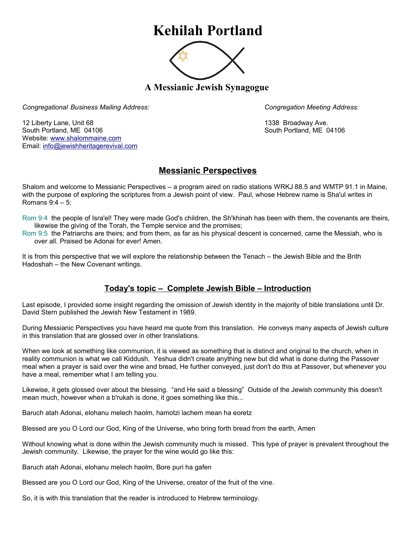## **Kehilah Portland**



**A Messianic Jewish Synagogue** 

*Congregational Business Mailing Address: Congregation Meeting Address:*

12 Liberty Lane, Unit 68 1338 Broadway Ave. South Portland, ME 04106 South Portland, ME 04106 Website: [www.shalommaine.com](http://www.shalommaine.com/) Email: [info@jewishheritagerevival.com](mailto:info@jewishheritagerevival.com) 

## **Messianic Perspectives**

Shalom and welcome to Messianic Perspectives – a program aired on radio stations WRKJ 88.5 and WMTP 91.1 in Maine, with the purpose of exploring the scriptures from a Jewish point of view. Paul, whose Hebrew name is Sha'ul writes in Romans 9:4 – 5:

- Rom 9:4 the people of Isra'el! They were made God's children, the Sh'khinah has been with them, the covenants are theirs, likewise the giving of the Torah, the Temple service and the promises;
- Rom 9:5 the Patriarchs are theirs; and from them, as far as his physical descent is concerned, came the Messiah, who is over all. Praised be Adonai for ever! Amen.

It is from this perspective that we will explore the relationship between the Tenach – the Jewish Bible and the Brith Hadoshah – the New Covenant writings.

## **Today's topic – Complete Jewish Bible – Introduction**

Last episode, I provided some insight regarding the omission of Jewish identity in the majority of bible translations until Dr. David Stern published the Jewish New Testament in 1989.

During Messianic Perspectives you have heard me quote from this translation. He conveys many aspects of Jewish culture in this translation that are glossed over in other translations.

When we look at something like communion, it is viewed as something that is distinct and original to the church, when in reality communion is what we call Kiddush. Yeshua didn't create anything new but did what is done during the Passover meal when a prayer is said over the wine and bread, He further conveyed, just don't do this at Passover, but whenever you have a meal, remember what I am telling you.

Likewise, it gets glossed over about the blessing. "and He said a blessing" Outside of the Jewish community this doesn't mean much, however when a b'rukah is done, it goes something like this...

Baruch atah Adonai, elohanu melech haolm, hamotzi lachem mean ha eoretz

Blessed are you O Lord our God, King of the Universe, who bring forth bread from the earth, Amen

Without knowing what is done within the Jewish community much is missed. This type of prayer is prevalent throughout the Jewish community. Likewise, the prayer for the wine would go like this:

Baruch atah Adonai, elohanu melech haolm, Bore puri ha gafen

Blessed are you O Lord our God, King of the Universe, creator of the fruit of the vine.

So, it is with this translation that the reader is introduced to Hebrew terminology.